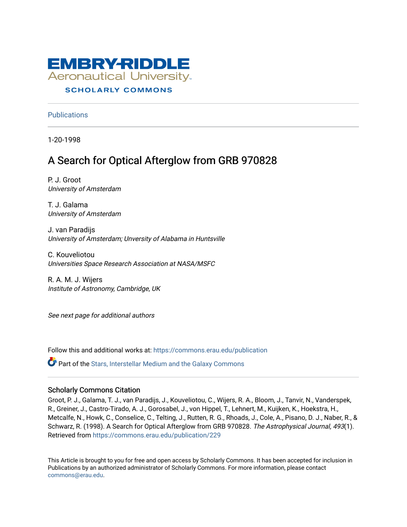

# **SCHOLARLY COMMONS**

**Publications** 

1-20-1998

# A Search for Optical Afterglow from GRB 970828

P. J. Groot University of Amsterdam

T. J. Galama University of Amsterdam

J. van Paradijs University of Amsterdam; Unversity of Alabama in Huntsville

C. Kouveliotou Universities Space Research Association at NASA/MSFC

R. A. M. J. Wijers Institute of Astronomy, Cambridge, UK

See next page for additional authors

Follow this and additional works at: [https://commons.erau.edu/publication](https://commons.erau.edu/publication?utm_source=commons.erau.edu%2Fpublication%2F229&utm_medium=PDF&utm_campaign=PDFCoverPages) 

Part of the [Stars, Interstellar Medium and the Galaxy Commons](http://network.bepress.com/hgg/discipline/127?utm_source=commons.erau.edu%2Fpublication%2F229&utm_medium=PDF&utm_campaign=PDFCoverPages) 

# Scholarly Commons Citation

Groot, P. J., Galama, T. J., van Paradijs, J., Kouveliotou, C., Wijers, R. A., Bloom, J., Tanvir, N., Vanderspek, R., Greiner, J., Castro-Tirado, A. J., Gorosabel, J., von Hippel, T., Lehnert, M., Kuijken, K., Hoekstra, H., Metcalfe, N., Howk, C., Conselice, C., Telting, J., Rutten, R. G., Rhoads, J., Cole, A., Pisano, D. J., Naber, R., & Schwarz, R. (1998). A Search for Optical Afterglow from GRB 970828. The Astrophysical Journal, 493(1). Retrieved from [https://commons.erau.edu/publication/229](https://commons.erau.edu/publication/229?utm_source=commons.erau.edu%2Fpublication%2F229&utm_medium=PDF&utm_campaign=PDFCoverPages)

This Article is brought to you for free and open access by Scholarly Commons. It has been accepted for inclusion in Publications by an authorized administrator of Scholarly Commons. For more information, please contact [commons@erau.edu](mailto:commons@erau.edu).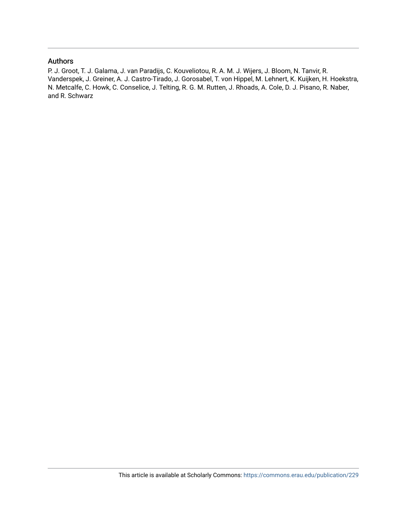# Authors

P. J. Groot, T. J. Galama, J. van Paradijs, C. Kouveliotou, R. A. M. J. Wijers, J. Bloom, N. Tanvir, R. Vanderspek, J. Greiner, A. J. Castro-Tirado, J. Gorosabel, T. von Hippel, M. Lehnert, K. Kuijken, H. Hoekstra, N. Metcalfe, C. Howk, C. Conselice, J. Telting, R. G. M. Rutten, J. Rhoads, A. Cole, D. J. Pisano, R. Naber, and R. Schwarz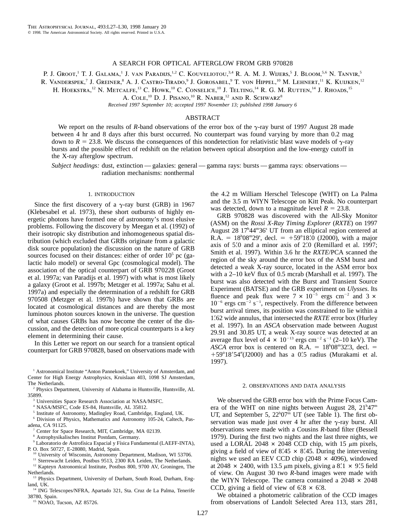### A SEARCH FOR OPTICAL AFTERGLOW FROM GRB 970828

P. J. Groot,<sup>1</sup> T. J. Galama,<sup>1</sup> J. van Paradijs,<sup>1,2</sup> C. Kouveliotou,<sup>3,4</sup> R. A. M. J. Wijers,<sup>5</sup> J. Bloom,<sup>5,6</sup> N. Tanvir,<sup>5</sup>

R. VANDERSPEK,<sup>7</sup> J. GREINER,<sup>8</sup> A. J. CASTRO-TIRADO,<sup>9</sup> J. GOROSABEL,<sup>9</sup> T. von Hippel,<sup>10</sup> M. Lehnert,<sup>11</sup> K. Kuijken,<sup>12</sup>

H. HOEKSTRA,<sup>12</sup> N. METCALFE,<sup>13</sup> C. HOWK,<sup>10</sup> C. CONSELICE,<sup>10</sup> J. TELTING,<sup>14</sup> R. G. M. RUTTEN,<sup>14</sup> J. RHOADS,<sup>15</sup>

A. COLE,  $^{10}$  D. J. PISANO,  $^{10}$  R. Naber,  $^{12}$  and R. Schwarz $^8$ 

*Received 1997 September 10; accepted 1997 November 13; published 1998 January 6*

# ABSTRACT

We report on the results of *R*-band observations of the error box of the  $\gamma$ -ray burst of 1997 August 28 made between 4 hr and 8 days after this burst occurred. No counterpart was found varying by more than 0.2 mag down to  $R = 23.8$ . We discuss the consequences of this nondetection for relativistic blast wave models of  $\gamma$ -ray bursts and the possible effect of redshift on the relation between optical absorption and the low-energy cutoff in the X-ray afterglow spectrum.

*Subject headings:* dust, extinction — galaxies: general — gamma rays: bursts — gamma rays: observations radiation mechanisms: nonthermal

### 1. INTRODUCTION

Since the first discovery of a  $\gamma$ -ray burst (GRB) in 1967 (Klebesabel et al. 1973), these short outbursts of highly energetic photons have formed one of astronomy's most elusive problems. Following the discovery by Meegan et al. (1992) of their isotropic sky distribution and inhomogeneous spatial distribution (which excluded that GRBs originate from a galactic disk source population) the discussion on the nature of GRB sources focused on their distances: either of order  $10<sup>5</sup>$  pc (galactic halo model) or several Gpc (cosmological model). The association of the optical counterpart of GRB 970228 (Groot et al. 1997a; van Paradijs et al. 1997) with what is most likely a galaxy (Groot et al. 1997b; Metzger et al. 1997a; Sahu et al. 1997a) and especially the determination of a redshift for GRB 970508 (Metzger et al. 1997b) have shown that GRBs are located at cosmological distances and are thereby the most luminous photon sources known in the universe. The question of what causes GRBs has now become the center of the discussion, and the detection of more optical counterparts is a key element in determining their cause.

In this Letter we report on our search for a transient optical counterpart for GRB 970828, based on observations made with

<sup>6</sup> Division of Physics, Mathematics and Astronomy 105-24, Caltech, Pasadena, CA 91125.

Center for Space Research, MIT, Cambridge, MA 02139.

<sup>8</sup> Astrophysikalisches Institut Postdam, Germany.

University of Wisconsin, Astronomy Department, Madison, WI 53706.

<sup>11</sup> Sterrewacht Leiden, Postbus 9513, 2300 RA Leiden, The Netherlands. <sup>12</sup> Kapteyn Astronomical Institute, Postbus 800, 9700 AV, Groningen, The

Netherlands.

- <sup>13</sup> Physics Department, University of Durham, South Road, Durham, England, UK.
- <sup>14</sup> ING Telescopes/NFRA, Apartado 321, Sta. Cruz de La Palma, Tenerife 38780, Spain.

<sup>15</sup> NOAO, Tucson, AZ 85726.

the 4.2 m William Herschel Telescope (WHT) on La Palma and the 3.5 m WIYN Telescope on Kitt Peak. No counterpart was detected, down to a magnitude level  $R = 23.8$ .

GRB 970828 was discovered with the All-Sky Monitor (ASM) on the *Rossi X-Ray Timing Explorer* (*RXTE*) on 1997 August 28 17<sup>h</sup>44<sup>m</sup>36<sup>s</sup> UT from an elliptical region centered at R.A. =  $18^h08^m29^s$ , decl. =  $+59^{\circ}18'0$  (J2000), with a major axis of  $5'$ .0 and a minor axis of  $2'$ .0 (Remillard et al. 1997; Smith et al. 1997). Within 3.6 hr the *RXTE*/PCA scanned the region of the sky around the error box of the ASM burst and detected a weak X-ray source, located in the ASM error box with a 2–10 keV flux of 0.5 mcrab (Marshall et al. 1997). The burst was also detected with the Burst and Transient Source Experiment (BATSE) and the GRB experiment on *Ulysses.* Its fluence and peak flux were  $7 \times 10^{-5}$  ergs cm<sup>-2</sup> and 3  $\times$  $10^{-6}$  ergs cm<sup>-2</sup> s<sup>-1</sup>, respectively. From the difference between burst arrival times, its position was constrained to lie within a 19.62 wide annulus, that intersected the *RXTE* error box (Hurley et al. 1997). In an *ASCA* observation made between August 29.91 and 30.85 UT, a weak X-ray source was detected at an average flux level of  $4 \times 10^{-13}$  ergs cm<sup>-2</sup> s<sup>-1</sup> (2–10 keV). The *ASCA* error box is centered on  $\overline{R}$ .A. = 18<sup>h</sup>08<sup>m</sup>32.3, decl. =  $+59^{\circ}18'54''(J2000)$  and has a 0.5 radius (Murakami et al. 1997).

#### 2. OBSERVATIONS AND DATA ANALYSIS

We observed the GRB error box with the Prime Focus Camera of the WHT on nine nights between August 28,  $21^{\text{h}}47^{\text{m}}$ UT, and September 5,  $22^{\text{h}}07^{\text{m}}$  UT (see Table 1). The first observation was made just over 4 hr after the  $\gamma$ -ray burst. All observations were made with a Cousins *R*-band filter (Bessell 1979). During the first two nights and the last three nights, we used a LORAL 2048  $\times$  2048 CCD chip, with 15  $\mu$ m pixels, giving a field of view of  $8' \cdot 45 \times 8' \cdot 45$ . During the intervening nights we used an EEV CCD chip ( $2048 \times 4096$ ), windowed at 2048  $\times$  2400, with 13.5  $\mu$ m pixels, giving a 8.1  $\times$  9.5 field of view. On August 30 two *R*-band images were made with the WIYN Telescope. The camera contained a  $2048 \times 2048$ CCD, giving a field of view of  $6\frac{8}{8} \times 6\frac{8}{8}$ .

We obtained a photometric calibration of the CCD images from observations of Landolt Selected Area 113, stars 281,

<sup>&</sup>lt;sup>1</sup> Astronomical Institute "Anton Pannekoek," University of Amsterdam, and Center for High Energy Astrophysics, Kruislaan 403, 1098 SJ Amsterdam, The Netherlands.

<sup>2</sup> Physics Department, University of Alabama in Huntsville, Huntsville, AL 35899.

<sup>3</sup> Universities Space Research Association at NASA/MSFC.

NASA/MSFC, Code ES-84, Huntsville, AL 35812.

<sup>5</sup> Institute of Astronomy, Madingley Road, Cambridge, England, UK.

<sup>&</sup>lt;sup>9</sup> Laboratorio de Astrofísica Espacial y Física Fundamental (LAEFF-INTA), P. O. Box 50727, E-28080, Madrid, Spain.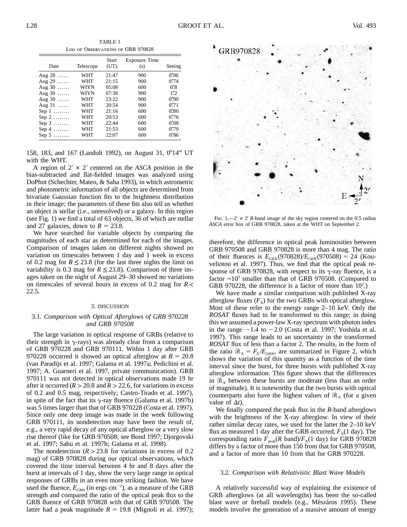TABLE 1 Log of Observations of GRB 970828

| Date          | Telescope  | Start<br>(UT) | <b>Exposure Time</b><br>(s) | Seeing               |
|---------------|------------|---------------|-----------------------------|----------------------|
| Aug $28$      | <b>WHT</b> | 21:47         | 900                         | $0''\!\!\!.86$       |
| Aug $29$      | <b>WHT</b> | 21:15         | 900                         | 0'''74               |
| Aug $30$      | WIYN       | 05:08         | 600                         | $0.8^{\prime\prime}$ |
| Aug $30$      | WIYN       | 07:38         | 900                         | 1''2                 |
| Aug $30$      | <b>WHT</b> | 23:22         | 900                         | 0.90                 |
| Aug $31$      | WHT        | 20:54         | 900                         | 0'''71               |
| Sep $1$       | <b>WHT</b> | 21:16         | 600                         | 0'''80               |
| Sep $2$       | <b>WHT</b> | 20:53         | 600                         | 0''76                |
| Sep $3$       | WHT        | 22:44         | 600                         | 0''38                |
| Sep 4 $\dots$ | WHT        | 21:53         | 600                         | 0''79                |
| Sep 5 $\dots$ | WHT        | 22:07         | 600                         | 0"86                 |

158, 183, and 167 (Landolt 1992), on August 31, 0<sup>h</sup>14<sup>m</sup> UT with the WHT.

A region of  $2' \times 2'$  centered on the *ASCA* position in the bias-subtracted and flat-fielded images was analyzed using DoPhot (Schechter, Mateo, & Saha 1993), in which astrometric and photometric information of all objects are determined from bivariate Gaussian function fits to the brightness distribution in their image; the parameters of these fits also tell us whether an object is stellar (i.e., unresolved) or a galaxy. In this region (see Fig. 1) we find a total of 63 objects, 36 of which are stellar and 27 galaxies, down to  $R = 23.8$ .

We have searched for variable objects by comparing the magnitudes of each star as determined for each of the images. Comparison of images taken on different nights showed no variation on timescales between 1 day and 1 week in excess of 0.2 mag for  $R \le 23.8$  (for the last three nights the limit on variability is 0.3 mag for  $R \le 23.8$ ). Comparison of three images taken on the night of August 29–30 showed no variations on timescales of several hours in excess of 0.2 mag for  $R <$ 22.5.

#### 3. DISCUSSION

# 3.1. *Comparison with Optical Afterglows of GRB 970228 and GRB 970508*

The large variation in optical response of GRBs (relative to their strength in  $\gamma$ -rays) was already clear from a comparison of GRB 970228 and GRB 970111. Within 1 day after GRB 970228 occurred it showed an optical afterglow at  $R = 20.8$ (van Paradijs et al. 1997; Galama et al. 1997a; Pedichini et al. 1997; A. Guarneri et al. 1997, private communication). GRB 970111 was not detected in optical observations made 19 hr after it occurred ( $R > 20.8$  and  $R > 22.6$ , for variations in excess of 0.2 and 0.5 mag, respectively; Castro-Tirado et al. 1997), in spite of the fact that its  $\gamma$ -ray fluence (Galama et al. 1997b) was 5 times larger than that of GRB 970228 (Costa et al. 1997). Since only one deep image was made in the week following GRB 970111, its nondetection may have been the result of, e.g., a very rapid decay of any optical afterglow or a very slow rise thereof (like for GRB 970508; see Bond 1997; Djorgovski et al. 1997; Sahu et al. 1997b; Galama et al. 1998).

The nondetection  $(R > 23.8$  for variations in excess of 0.2 mag) of GRB 970828 during our optical observations, which covered the time interval between 4 hr and 8 days after the burst at intervals of 1 day, show the very large range in optical responses of GRBs in an even more striking fashion. We have used the fluence,  $E_{\text{GRB}}$  (in ergs cm<sup>-2</sup>), as a measure of the GRB strength and compared the ratio of the optical peak flux to the GRB fluence of GRB 970828 with that of GRB 970508. The latter had a peak magnitude  $R = 19.8$  (Mignoli et al. 1997);



FIG.  $1 - 2' \times 2'$  R-band image of the sky region centered on the 0.5 radius *ASCA* error box of GRB 970828, taken at the WHT on September 2.

therefore, the difference in optical peak luminosities between GRB 970508 and GRB 970828 is more than 4 mag. The ratio of their fluences is  $E_{\text{GRB}}(970828)/E_{\text{GRB}}(970508) = 24$  (Kouveliotou et al. 1997). Thus, we find that the optical peak response of GRB 970828, with respect to its  $\gamma$ -ray fluence, is a factor ∼103 smaller than that of GRB 970508. (Compared to GRB 970228, the difference is a factor of more than  $10<sup>2</sup>$ .)

We have made a similar comparison with published X-ray afterglow fluxes  $(F_x)$  for the two GRBs with optical afterglow. Most of these refer to the energy range 2–10 keV. Only the *ROSAT* fluxes had to be transformed to this range; in doing this we assumed a power-law X-ray spectrum with photon index in the range  $-1.4$  to  $-2.0$  (Costa et al. 1997; Yoshida et al. 1997). This range leads to an uncertainty in the transformed *ROSAT* flux of less than a factor 2. The results, in the form of the ratio  $\mathcal{R}_{\rm X} = F_{\rm X}/E_{\rm GRB}$ , are summarized in Figure 2, which shows the variation of this quantity as a function of the time interval since the burst, for three bursts with published X-ray afterglow information. This figure shows that the differences in  $\mathcal{R}_x$  between these bursts are moderate (less than an order of magnitude). It is noteworthy that the two bursts with optical counterparts also have the highest values of  $\mathcal{R}_{X}$  (for a given value of  $\Delta t$ ).

We finally compared the peak flux in the *R*-band afterglows with the brightness of the X-ray afterglow. In view of their rather similar decay rates, we used for the latter the 2–10 keV flux as measured 1 day after the GRB occurred,  $F_X(1 \text{ day})$ . The corresponding ratio  $F_{\text{peak}}(R \text{ band})/F_X(1 \text{ day})$  for GRB 970828 differs by a factor of more than 150 from that for GRB 970508, and a factor of more than 10 from that for GRB 970228.

#### 3.2. *Comparison with Relativistic Blast Wave Models*

A relatively successful way of explaining the existence of GRB afterglows (at all wavelengths) has been the so-called blast wave or fireball models (e.g., Mészáros 1995). These models involve the generation of a massive amount of energy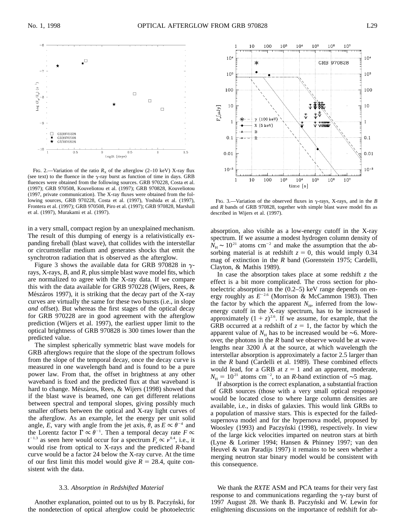

Fig. 2.—Variation of the ratio  $R_X$  of the afterglow (2–10 keV) X-ray flux (see text) to the fluence in the  $\gamma$ -ray burst as function of time in days. GRB fluences were obtained from the following sources. GRB 970228, Costa et al. (1997); GRB 970508, Kouveliotou et al. (1997); GRB 970828, Kouveliotou (1997, private communication). The X-ray fluxes were obtained from the following sources, GRB 970228, Costa et al. (1997), Yoshida et al. (1997), Frontera et al. (1997); GRB 970508, Piro et al. (1997); GRB 970828, Marshall et al. (1997), Murakami et al. (1997).

in a very small, compact region by an unexplained mechanism. The result of this dumping of energy is a relativistically expanding fireball (blast wave), that collides with the interstellar or circumstellar medium and generates shocks that emit the synchrotron radiation that is observed as the afterglow.

Figure 3 shows the available data for GRB 970828 in  $\gamma$ rays, X-rays, *B*, and *R*, plus simple blast wave model fits, which are normalized to agree with the X-ray data. If we compare this with the data available for GRB 970228 (Wijers, Rees, & Mészáros 1997), it is striking that the decay part of the X-ray curves are virtually the same for these two bursts (i.e., in slope *and* offset). But whereas the first stages of the optical decay for GRB 970228 are in good agreement with the afterglow prediction (Wijers et al. 1997), the earliest upper limit to the optical brightness of GRB 970828 is 300 times lower than the predicted value.

The simplest spherically symmetric blast wave models for GRB afterglows require that the slope of the spectrum follows from the slope of the temporal decay, once the decay curve is measured in one wavelength band and is found to be a pure power law. From that, the offset in brightness at any other waveband is fixed and the predicted flux at that waveband is hard to change. Mészáros, Rees, & Wijers (1998) showed that if the blast wave is beamed, one can get different relations between spectral and temporal slopes, giving possibly much smaller offsets between the optical and X-ray light curves of the afterglow. As an example, let the energy per unit solid angle, *E*, vary with angle from the jet axis,  $\theta$ , as  $E \propto \theta^{-4}$  and the Lorentz factor  $\Gamma \propto \theta^{-1}$ . Then a temporal decay rate  $F \propto$  $t^{-1.3}$  as seen here would occur for a spectrum  $F_r \propto \nu^{0.4}$ , i.e., it would rise from optical to X-rays and the predicted *R*-band curve would be a factor 24 below the X-ray curve. At the time of our first limit this model would give  $R = 28.4$ , quite consistent with the data.

#### 3.3. *Absorption in Redshifted Material*

Another explanation, pointed out to us by B. Paczyński, for the nondetection of optical afterglow could be photoelectric



FIG. 3.—Variation of the observed fluxes in  $\gamma$ -rays, X-rays, and in the *B* and *R* bands of GRB 970828, together with simple blast wave model fits as described in Wijers et al. (1997).

absorption, also visible as a low-energy cutoff in the X-ray spectrum. If we assume a modest hydrogen column density of  $\dot{N}_{\rm H}$  ~ 10<sup>21</sup> atoms cm<sup>-2</sup> and make the assumption that the absorbing material is at redshift  $z = 0$ , this would imply 0.34 mag of extinction in the *R* band (Gorenstein 1975; Cardelli, Clayton, & Mathis 1989).

In case the absorption takes place at some redshift *z* the effect is a bit more complicated. The cross section for photoelectric absorption in the (0.2–5) keV range depends on energy roughly as  $E^{-2.6}$  (Morrison & McCammon 1983). Then the factor by which the apparent  $N_{\rm H}$ , inferred from the lowenergy cutoff in the X-ray spectrum, has to be increased is approximately  $(1 + z)^{2.6}$ . If we assume, for example, that the GRB occurred at a redshift of  $z = 1$ , the factor by which the apparent value of  $N_H$  has to be increased would be ~6. Moreover, the photons in the *R* band we observe would be at wavelengths near  $3200 \text{ Å}$  at the source, at which wavelength the interstellar absorption is approximately a factor 2.5 larger than in the *R* band (Cardelli et al. 1989). These combined effects would lead, for a GRB at  $z = 1$  and an apparent, moderate,  $N_{\text{H}} = 10^{21}$  atoms cm<sup>-2</sup>, to an *R*-band extinction of ~5 mag.

If absorption is the correct explanation, a substantial fraction of GRB sources (those with a very small optical response) would be located close to where large column densities are available, i.e., in disks of galaxies. This would link GRBs to a population of massive stars. This is expected for the failedsupernova model and for the hypernova model, proposed by Woosley (1993) and Paczyński (1998), respectively. In view of the large kick velocities imparted on neutron stars at birth (Lyne & Lorimer 1994; Hansen & Phinney 1997; van den Heuvel & van Paradijs 1997) it remains to be seen whether a merging neutron star binary model would be consistent with this consequence.

We thank the *RXTE* ASM and PCA teams for their very fast response to and communications regarding the  $\gamma$ -ray burst of 1997 August 28. We thank B. Paczyński and W. Lewin for enlightening discussions on the importance of redshift for ab